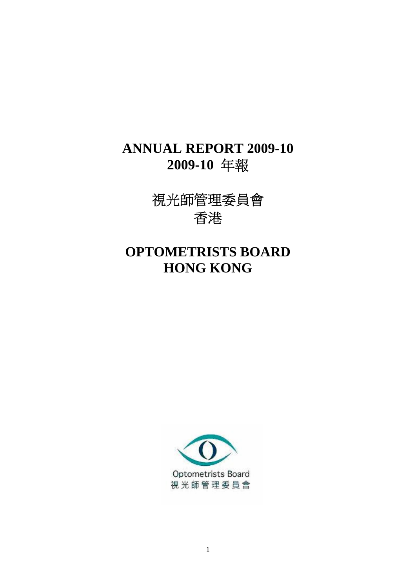## **ANNUAL REPORT 2009-10 2009-10** 年報

視光師管理委員會 香港

# **OPTOMETRISTS BOARD HONG KONG**

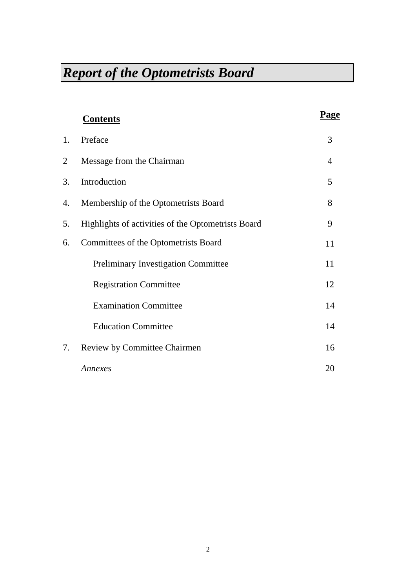|    | <b>Contents</b>                                    | Page |
|----|----------------------------------------------------|------|
| 1. | Preface                                            | 3    |
| 2  | Message from the Chairman                          | 4    |
| 3. | Introduction                                       | 5    |
| 4. | Membership of the Optometrists Board               | 8    |
| 5. | Highlights of activities of the Optometrists Board | 9    |
| 6. | Committees of the Optometrists Board               | 11   |
|    | <b>Preliminary Investigation Committee</b>         | 11   |
|    | <b>Registration Committee</b>                      | 12   |
|    | <b>Examination Committee</b>                       | 14   |
|    | <b>Education Committee</b>                         | 14   |
| 7. | Review by Committee Chairmen                       | 16   |
|    | Annexes                                            | 20   |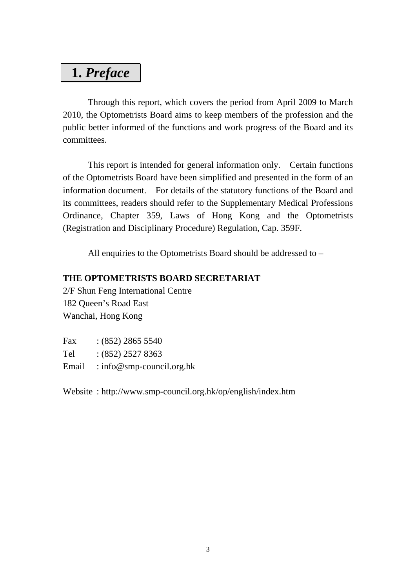## **1.** *Preface*

 Through this report, which covers the period from April 2009 to March 2010, the Optometrists Board aims to keep members of the profession and the public better informed of the functions and work progress of the Board and its committees.

 This report is intended for general information only. Certain functions of the Optometrists Board have been simplified and presented in the form of an information document. For details of the statutory functions of the Board and its committees, readers should refer to the Supplementary Medical Professions Ordinance, Chapter 359, Laws of Hong Kong and the Optometrists (Registration and Disciplinary Procedure) Regulation, Cap. 359F.

All enquiries to the Optometrists Board should be addressed to –

#### **THE OPTOMETRISTS BOARD SECRETARIAT**

2/F Shun Feng International Centre 182 Queen's Road East Wanchai, Hong Kong

| Fax   | $(852)$ 2865 5540         |
|-------|---------------------------|
| Tel   | $:(852)$ 2527 8363        |
| Email | : info@smp-council.org.hk |

Website : http://www.smp-council.org.hk/op/english/index.htm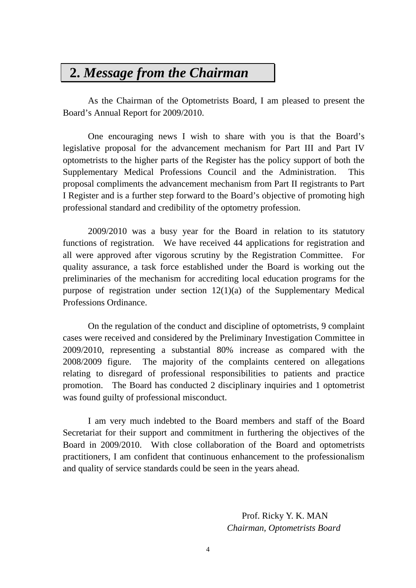## **2.** *Message from the Chairman*

 As the Chairman of the Optometrists Board, I am pleased to present the Board's Annual Report for 2009/2010.

 One encouraging news I wish to share with you is that the Board's legislative proposal for the advancement mechanism for Part III and Part IV optometrists to the higher parts of the Register has the policy support of both the Supplementary Medical Professions Council and the Administration. This proposal compliments the advancement mechanism from Part II registrants to Part I Register and is a further step forward to the Board's objective of promoting high professional standard and credibility of the optometry profession.

 2009/2010 was a busy year for the Board in relation to its statutory functions of registration. We have received 44 applications for registration and all were approved after vigorous scrutiny by the Registration Committee. For quality assurance, a task force established under the Board is working out the preliminaries of the mechanism for accrediting local education programs for the purpose of registration under section 12(1)(a) of the Supplementary Medical Professions Ordinance.

 On the regulation of the conduct and discipline of optometrists, 9 complaint cases were received and considered by the Preliminary Investigation Committee in 2009/2010, representing a substantial 80% increase as compared with the 2008/2009 figure. The majority of the complaints centered on allegations relating to disregard of professional responsibilities to patients and practice promotion. The Board has conducted 2 disciplinary inquiries and 1 optometrist was found guilty of professional misconduct.

 I am very much indebted to the Board members and staff of the Board Secretariat for their support and commitment in furthering the objectives of the Board in 2009/2010. With close collaboration of the Board and optometrists practitioners, I am confident that continuous enhancement to the professionalism and quality of service standards could be seen in the years ahead.

> Prof. Ricky Y. K. MAN *Chairman, Optometrists Board*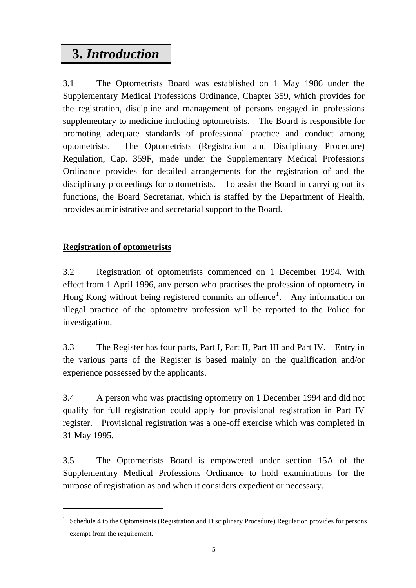# **3.** *Introduction*

3.1 The Optometrists Board was established on 1 May 1986 under the Supplementary Medical Professions Ordinance, Chapter 359, which provides for the registration, discipline and management of persons engaged in professions supplementary to medicine including optometrists. The Board is responsible for promoting adequate standards of professional practice and conduct among optometrists. The Optometrists (Registration and Disciplinary Procedure) Regulation, Cap. 359F, made under the Supplementary Medical Professions Ordinance provides for detailed arrangements for the registration of and the disciplinary proceedings for optometrists. To assist the Board in carrying out its functions, the Board Secretariat, which is staffed by the Department of Health, provides administrative and secretarial support to the Board.

## **Registration of optometrists**

1

3.2 Registration of optometrists commenced on 1 December 1994. With effect from 1 April 1996, any person who practises the profession of optometry in Hong Kong without being registered commits an offence<sup>[1](#page-4-0)</sup>. Any information on illegal practice of the optometry profession will be reported to the Police for investigation.

3.3 The Register has four parts, Part I, Part II, Part III and Part IV. Entry in the various parts of the Register is based mainly on the qualification and/or experience possessed by the applicants.

3.4 A person who was practising optometry on 1 December 1994 and did not qualify for full registration could apply for provisional registration in Part IV register. Provisional registration was a one-off exercise which was completed in 31 May 1995.

3.5 The Optometrists Board is empowered under section 15A of the Supplementary Medical Professions Ordinance to hold examinations for the purpose of registration as and when it considers expedient or necessary.

<span id="page-4-0"></span><sup>&</sup>lt;sup>1</sup> Schedule 4 to the Optometrists (Registration and Disciplinary Procedure) Regulation provides for persons exempt from the requirement.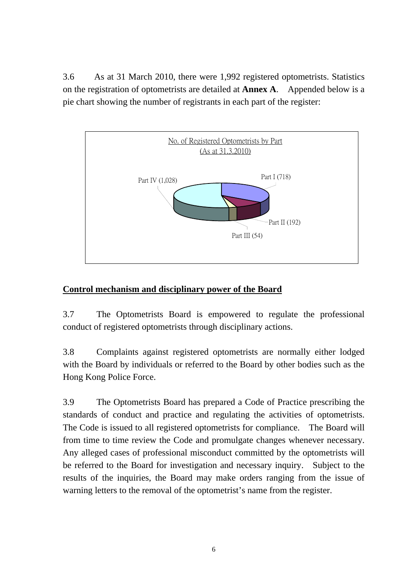3.6 As at 31 March 2010, there were 1,992 registered optometrists. Statistics on the registration of optometrists are detailed at **Annex A**. Appended below is a pie chart showing the number of registrants in each part of the register:



### **Control mechanism and disciplinary power of the Board**

3.7 The Optometrists Board is empowered to regulate the professional conduct of registered optometrists through disciplinary actions.

3.8 Complaints against registered optometrists are normally either lodged with the Board by individuals or referred to the Board by other bodies such as the Hong Kong Police Force.

3.9 The Optometrists Board has prepared a Code of Practice prescribing the standards of conduct and practice and regulating the activities of optometrists. The Code is issued to all registered optometrists for compliance. The Board will from time to time review the Code and promulgate changes whenever necessary. Any alleged cases of professional misconduct committed by the optometrists will be referred to the Board for investigation and necessary inquiry. Subject to the results of the inquiries, the Board may make orders ranging from the issue of warning letters to the removal of the optometrist's name from the register.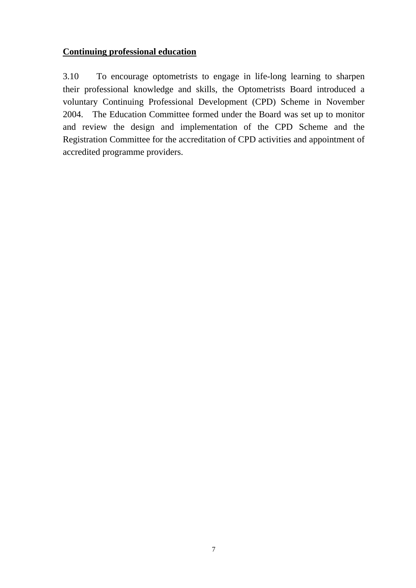### **Continuing professional education**

3.10 To encourage optometrists to engage in life-long learning to sharpen their professional knowledge and skills, the Optometrists Board introduced a voluntary Continuing Professional Development (CPD) Scheme in November 2004. The Education Committee formed under the Board was set up to monitor and review the design and implementation of the CPD Scheme and the Registration Committee for the accreditation of CPD activities and appointment of accredited programme providers.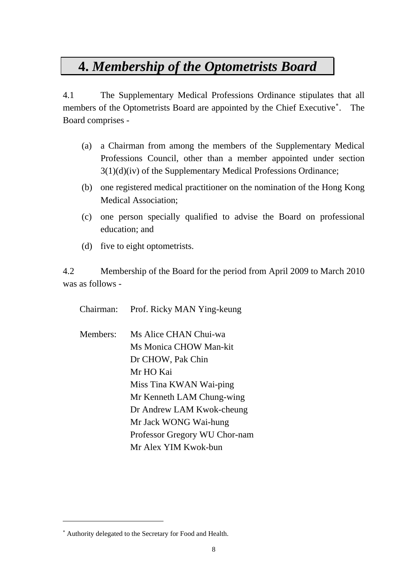## **4.** *Membership of the Optometrists Board*

4.1 The Supplementary Medical Professions Ordinance stipulates that all members of the Optometrists Board are appointed by the Chief Executive . The Board comprises -

- (a) a Chairman from among the members of the Supplementary Medical Professions Council, other than a member appointed under section 3(1)(d)(iv) of the Supplementary Medical Professions Ordinance;
- (b) one registered medical practitioner on the nomination of the Hong Kong Medical Association;
- (c) one person specially qualified to advise the Board on professional education; and
- (d) five to eight optometrists.

4.2 Membership of the Board for the period from April 2009 to March 2010 was as follows -

Chairman: Prof. Ricky MAN Ying-keung

Members: Ms Alice CHAN Chui-wa Ms Monica CHOW Man-kit Dr CHOW, Pak Chin Mr HO Kai Miss Tina KWAN Wai-ping Mr Kenneth LAM Chung-wing Dr Andrew LAM Kwok-cheung Mr Jack WONG Wai-hung Professor Gregory WU Chor-nam Mr Alex YIM Kwok-bun

1

<span id="page-7-0"></span> Authority delegated to the Secretary for Food and Health.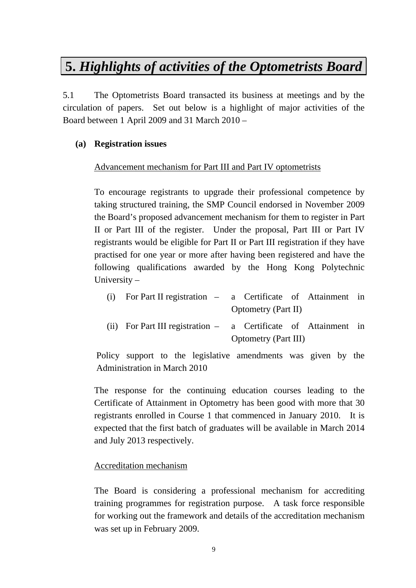## **5.** *Highlights of activities of the Optometrists Board*

5.1 The Optometrists Board transacted its business at meetings and by the circulation of papers. Set out below is a highlight of major activities of the Board between 1 April 2009 and 31 March 2010 –

### **(a) Registration issues**

### Advancement mechanism for Part III and Part IV optometrists

To encourage registrants to upgrade their professional competence by taking structured training, the SMP Council endorsed in November 2009 the Board's proposed advancement mechanism for them to register in Part II or Part III of the register. Under the proposal, Part III or Part IV registrants would be eligible for Part II or Part III registration if they have practised for one year or more after having been registered and have the following qualifications awarded by the Hong Kong Polytechnic University –

| (i) For Part II registration – a Certificate of Attainment in   |                             |                            |  |  |
|-----------------------------------------------------------------|-----------------------------|----------------------------|--|--|
|                                                                 |                             | <b>Optometry</b> (Part II) |  |  |
| (ii) For Part III registration – a Certificate of Attainment in |                             |                            |  |  |
|                                                                 | <b>Optometry (Part III)</b> |                            |  |  |

Policy support to the legislative amendments was given by the Administration in March 2010

The response for the continuing education courses leading to the Certificate of Attainment in Optometry has been good with more that 30 registrants enrolled in Course 1 that commenced in January 2010. It is expected that the first batch of graduates will be available in March 2014 and July 2013 respectively.

#### Accreditation mechanism

The Board is considering a professional mechanism for accrediting training programmes for registration purpose. A task force responsible for working out the framework and details of the accreditation mechanism was set up in February 2009.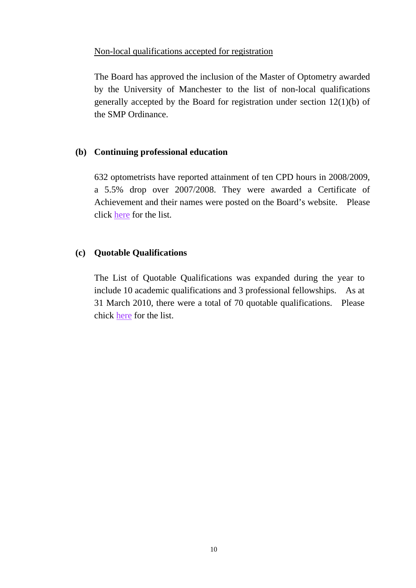#### Non-local qualifications accepted for registration

The Board has approved the inclusion of the Master of Optometry awarded by the University of Manchester to the list of non-local qualifications generally accepted by the Board for registration under section 12(1)(b) of the SMP Ordinance.

#### **(b) Continuing professional education**

632 optometrists have reported attainment of ten CPD hours in 2008/2009, a 5.5% drop over 2007/2008. They were awarded a Certificate of Achievement and their names were posted on the Board's website. Please click [here](http://www.smp-council.org.hk/op/list_opCPD0809_e.pdf) for the list.

#### **(c) Quotable Qualifications**

The List of Quotable Qualifications was expanded during the year to include 10 academic qualifications and 3 professional fellowships. As at 31 March 2010, there were a total of 70 quotable qualifications. Please chick [here](http://www.smp-council.org.hk/op/lqq.pdf) for the list.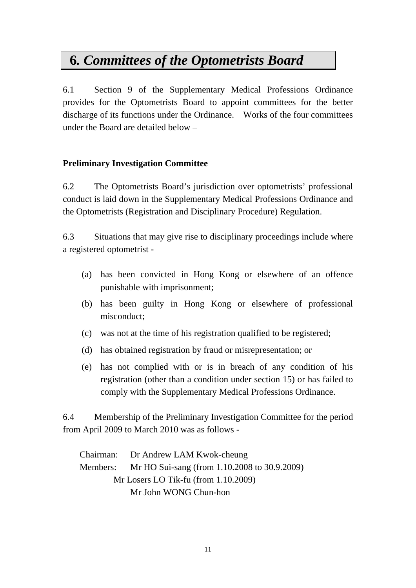# **6***. Committees of the Optometrists Board*

6.1 Section 9 of the Supplementary Medical Professions Ordinance provides for the Optometrists Board to appoint committees for the better discharge of its functions under the Ordinance. Works of the four committees under the Board are detailed below –

### **Preliminary Investigation Committee**

6.2 The Optometrists Board's jurisdiction over optometrists' professional conduct is laid down in the Supplementary Medical Professions Ordinance and the Optometrists (Registration and Disciplinary Procedure) Regulation.

6.3 Situations that may give rise to disciplinary proceedings include where a registered optometrist -

- (a) has been convicted in Hong Kong or elsewhere of an offence punishable with imprisonment;
- (b) has been guilty in Hong Kong or elsewhere of professional misconduct;
- (c) was not at the time of his registration qualified to be registered;
- (d) has obtained registration by fraud or misrepresentation; or
- (e) has not complied with or is in breach of any condition of his registration (other than a condition under section 15) or has failed to comply with the Supplementary Medical Professions Ordinance.

6.4 Membership of the Preliminary Investigation Committee for the period from April 2009 to March 2010 was as follows -

Chairman: Dr Andrew LAM Kwok-cheung Members: Mr HO Sui-sang (from 1.10.2008 to 30.9.2009) Mr Losers LO Tik-fu (from 1.10.2009) Mr John WONG Chun-hon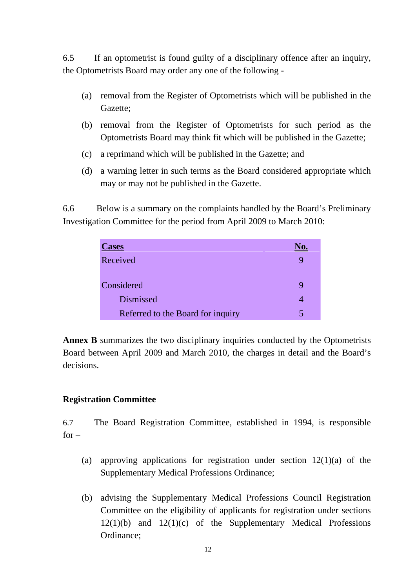6.5 If an optometrist is found guilty of a disciplinary offence after an inquiry, the Optometrists Board may order any one of the following -

- (a) removal from the Register of Optometrists which will be published in the Gazette;
- (b) removal from the Register of Optometrists for such period as the Optometrists Board may think fit which will be published in the Gazette;
- (c) a reprimand which will be published in the Gazette; and
- (d) a warning letter in such terms as the Board considered appropriate which may or may not be published in the Gazette.

6.6 Below is a summary on the complaints handled by the Board's Preliminary Investigation Committee for the period from April 2009 to March 2010:

| <b>Cases</b>                      | lΟ. |
|-----------------------------------|-----|
| Received                          |     |
| Considered                        |     |
| <b>Dismissed</b>                  |     |
| Referred to the Board for inquiry |     |

**Annex B** summarizes the two disciplinary inquiries conducted by the Optometrists Board between April 2009 and March 2010, the charges in detail and the Board's decisions.

### **Registration Committee**

6.7 The Board Registration Committee, established in 1994, is responsible  $for -$ 

- (a) approving applications for registration under section  $12(1)(a)$  of the Supplementary Medical Professions Ordinance;
- (b) advising the Supplementary Medical Professions Council Registration Committee on the eligibility of applicants for registration under sections  $12(1)(b)$  and  $12(1)(c)$  of the Supplementary Medical Professions Ordinance;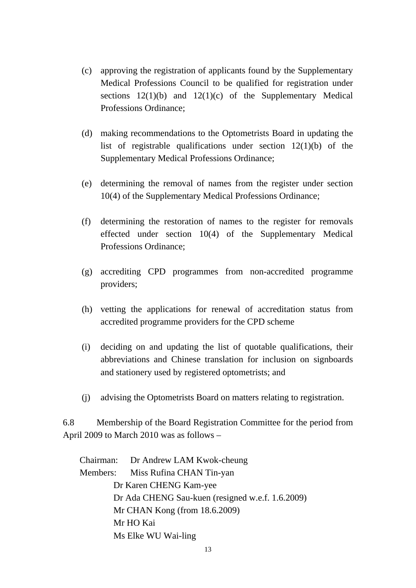- (c) approving the registration of applicants found by the Supplementary Medical Professions Council to be qualified for registration under sections  $12(1)(b)$  and  $12(1)(c)$  of the Supplementary Medical Professions Ordinance;
- (d) making recommendations to the Optometrists Board in updating the list of registrable qualifications under section 12(1)(b) of the Supplementary Medical Professions Ordinance;
- (e) determining the removal of names from the register under section 10(4) of the Supplementary Medical Professions Ordinance;
- (f) determining the restoration of names to the register for removals effected under section 10(4) of the Supplementary Medical Professions Ordinance;
- (g) accrediting CPD programmes from non-accredited programme providers;
- (h) vetting the applications for renewal of accreditation status from accredited programme providers for the CPD scheme
- (i) deciding on and updating the list of quotable qualifications, their abbreviations and Chinese translation for inclusion on signboards and stationery used by registered optometrists; and
- (j) advising the Optometrists Board on matters relating to registration.

6.8 Membership of the Board Registration Committee for the period from April 2009 to March 2010 was as follows –

Chairman: Dr Andrew LAM Kwok-cheung Members: Miss Rufina CHAN Tin-yan Dr Karen CHENG Kam-yee Dr Ada CHENG Sau-kuen (resigned w.e.f. 1.6.2009) Mr CHAN Kong (from 18.6.2009) Mr HO Kai Ms Elke WU Wai-ling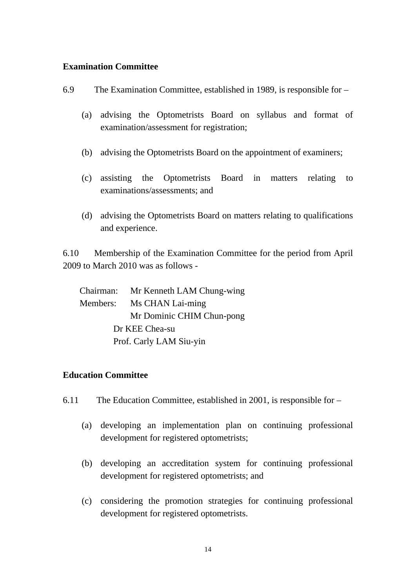#### **Examination Committee**

- 6.9 The Examination Committee, established in 1989, is responsible for
	- (a) advising the Optometrists Board on syllabus and format of examination/assessment for registration;
	- (b) advising the Optometrists Board on the appointment of examiners;
	- (c) assisting the Optometrists Board in matters relating to examinations/assessments; and
	- (d) advising the Optometrists Board on matters relating to qualifications and experience.

6.10 Membership of the Examination Committee for the period from April 2009 to March 2010 was as follows -

Chairman: Mr Kenneth LAM Chung-wing Members: Ms CHAN Lai-ming Mr Dominic CHIM Chun-pong Dr KEE Chea-su Prof. Carly LAM Siu-yin

#### **Education Committee**

- 6.11 The Education Committee, established in 2001, is responsible for
	- (a) developing an implementation plan on continuing professional development for registered optometrists;
	- (b) developing an accreditation system for continuing professional development for registered optometrists; and
	- (c) considering the promotion strategies for continuing professional development for registered optometrists.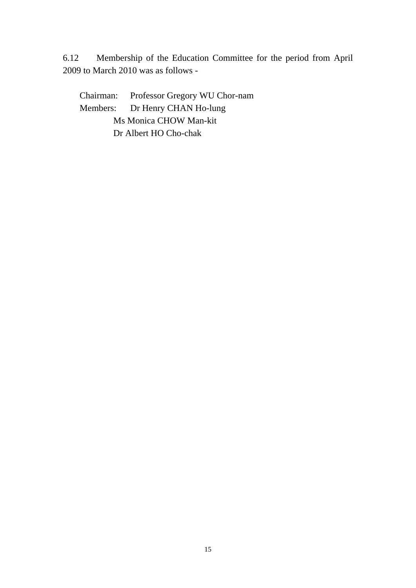6.12 Membership of the Education Committee for the period from April 2009 to March 2010 was as follows -

Chairman: Professor Gregory WU Chor-nam Members: Dr Henry CHAN Ho-lung Ms Monica CHOW Man-kit Dr Albert HO Cho-chak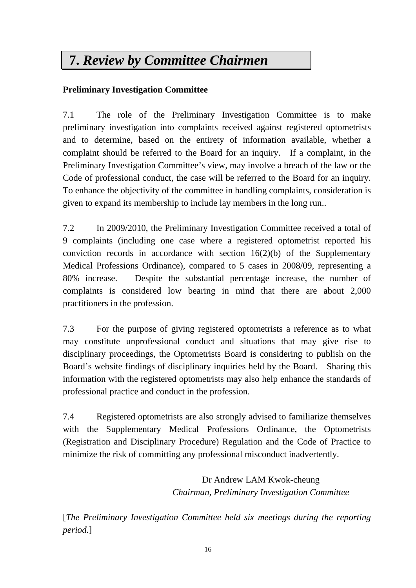# **7.** *Review by Committee Chairmen*

## **Preliminary Investigation Committee**

7.1 The role of the Preliminary Investigation Committee is to make preliminary investigation into complaints received against registered optometrists and to determine, based on the entirety of information available, whether a complaint should be referred to the Board for an inquiry. If a complaint, in the Preliminary Investigation Committee's view, may involve a breach of the law or the Code of professional conduct, the case will be referred to the Board for an inquiry. To enhance the objectivity of the committee in handling complaints, consideration is given to expand its membership to include lay members in the long run..

7.2 In 2009/2010, the Preliminary Investigation Committee received a total of 9 complaints (including one case where a registered optometrist reported his conviction records in accordance with section  $16(2)(b)$  of the Supplementary Medical Professions Ordinance), compared to 5 cases in 2008/09, representing a 80% increase. Despite the substantial percentage increase, the number of complaints is considered low bearing in mind that there are about 2,000 practitioners in the profession.

7.3 For the purpose of giving registered optometrists a reference as to what may constitute unprofessional conduct and situations that may give rise to disciplinary proceedings, the Optometrists Board is considering to publish on the Board's website findings of disciplinary inquiries held by the Board. Sharing this information with the registered optometrists may also help enhance the standards of professional practice and conduct in the profession.

7.4 Registered optometrists are also strongly advised to familiarize themselves with the Supplementary Medical Professions Ordinance, the Optometrists (Registration and Disciplinary Procedure) Regulation and the Code of Practice to minimize the risk of committing any professional misconduct inadvertently.

> Dr Andrew LAM Kwok-cheung *Chairman, Preliminary Investigation Committee*

[*The Preliminary Investigation Committee held six meetings during the reporting period.*]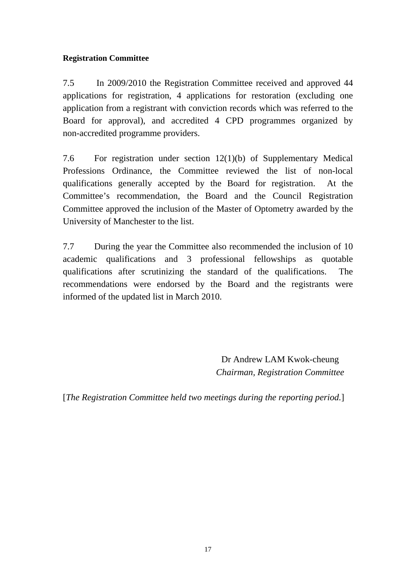### **Registration Committee**

7.5 In 2009/2010 the Registration Committee received and approved 44 applications for registration, 4 applications for restoration (excluding one application from a registrant with conviction records which was referred to the Board for approval), and accredited 4 CPD programmes organized by non-accredited programme providers.

7.6 For registration under section 12(1)(b) of Supplementary Medical Professions Ordinance, the Committee reviewed the list of non-local qualifications generally accepted by the Board for registration. At the Committee's recommendation, the Board and the Council Registration Committee approved the inclusion of the Master of Optometry awarded by the University of Manchester to the list.

7.7 During the year the Committee also recommended the inclusion of 10 academic qualifications and 3 professional fellowships as quotable qualifications after scrutinizing the standard of the qualifications. The recommendations were endorsed by the Board and the registrants were informed of the updated list in March 2010.

> Dr Andrew LAM Kwok-cheung *Chairman, Registration Committee*

[*The Registration Committee held two meetings during the reporting period.*]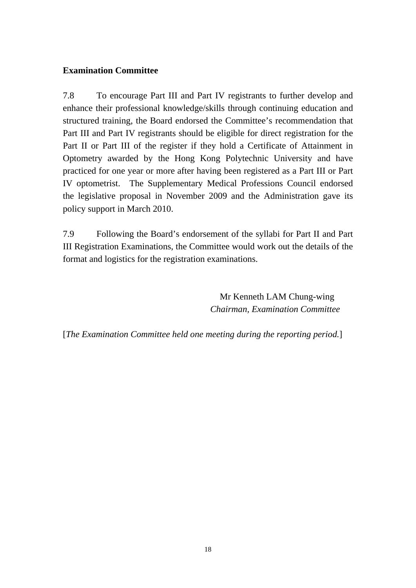### **Examination Committee**

7.8 To encourage Part III and Part IV registrants to further develop and enhance their professional knowledge/skills through continuing education and structured training, the Board endorsed the Committee's recommendation that Part III and Part IV registrants should be eligible for direct registration for the Part II or Part III of the register if they hold a Certificate of Attainment in Optometry awarded by the Hong Kong Polytechnic University and have practiced for one year or more after having been registered as a Part III or Part IV optometrist. The Supplementary Medical Professions Council endorsed the legislative proposal in November 2009 and the Administration gave its policy support in March 2010.

7.9 Following the Board's endorsement of the syllabi for Part II and Part III Registration Examinations, the Committee would work out the details of the format and logistics for the registration examinations.

> Mr Kenneth LAM Chung-wing *Chairman, Examination Committee*

[*The Examination Committee held one meeting during the reporting period.*]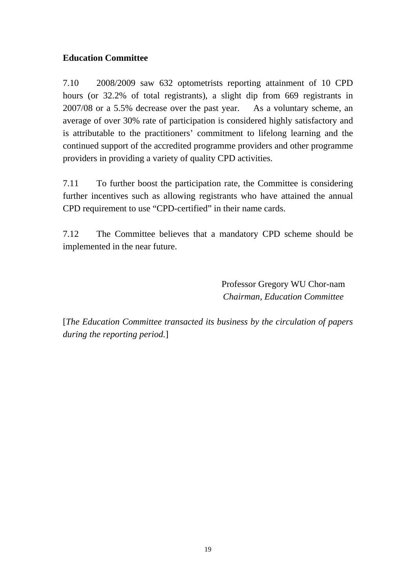### **Education Committee**

7.10 2008/2009 saw 632 optometrists reporting attainment of 10 CPD hours (or 32.2% of total registrants), a slight dip from 669 registrants in 2007/08 or a 5.5% decrease over the past year. As a voluntary scheme, an average of over 30% rate of participation is considered highly satisfactory and is attributable to the practitioners' commitment to lifelong learning and the continued support of the accredited programme providers and other programme providers in providing a variety of quality CPD activities.

7.11 To further boost the participation rate, the Committee is considering further incentives such as allowing registrants who have attained the annual CPD requirement to use "CPD-certified" in their name cards.

7.12 The Committee believes that a mandatory CPD scheme should be implemented in the near future.

> Professor Gregory WU Chor-nam *Chairman, Education Committee*

[*The Education Committee transacted its business by the circulation of papers during the reporting period.*]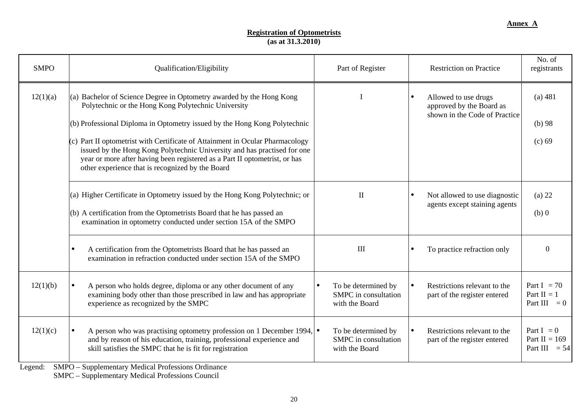#### **Registration of Optometrists (as at 31.3.2010)**

| <b>SMPO</b>                   | Qualification/Eligibility                                                                                                                                                                                                                                                                                                                                                                                                                                                                                 | Part of Register                                              | <b>Restriction on Practice</b>                                                    | No. of<br>registrants                              |
|-------------------------------|-----------------------------------------------------------------------------------------------------------------------------------------------------------------------------------------------------------------------------------------------------------------------------------------------------------------------------------------------------------------------------------------------------------------------------------------------------------------------------------------------------------|---------------------------------------------------------------|-----------------------------------------------------------------------------------|----------------------------------------------------|
| 12(1)(a)                      | (a) Bachelor of Science Degree in Optometry awarded by the Hong Kong<br>Polytechnic or the Hong Kong Polytechnic University<br>(b) Professional Diploma in Optometry issued by the Hong Kong Polytechnic<br>$(c)$ Part II optometrist with Certificate of Attainment in Ocular Pharmacology<br>issued by the Hong Kong Polytechnic University and has practised for one<br>year or more after having been registered as a Part II optometrist, or has<br>other experience that is recognized by the Board |                                                               | Allowed to use drugs<br>approved by the Board as<br>shown in the Code of Practice | (a) 481<br>$(b)$ 98<br>$(c)$ 69                    |
|                               | (a) Higher Certificate in Optometry issued by the Hong Kong Polytechnic; or<br>(b) A certification from the Optometrists Board that he has passed an<br>examination in optometry conducted under section 15A of the SMPO                                                                                                                                                                                                                                                                                  | $\mathbf{I}$                                                  | Not allowed to use diagnostic<br>agents except staining agents                    | $(a)$ 22<br>$(b)$ 0                                |
|                               | A certification from the Optometrists Board that he has passed an<br>examination in refraction conducted under section 15A of the SMPO                                                                                                                                                                                                                                                                                                                                                                    | III                                                           | To practice refraction only                                                       | $\Omega$                                           |
| 12(1)(b)                      | A person who holds degree, diploma or any other document of any<br>examining body other than those prescribed in law and has appropriate<br>experience as recognized by the SMPC                                                                                                                                                                                                                                                                                                                          | To be determined by<br>SMPC in consultation<br>with the Board | Restrictions relevant to the<br>part of the register entered                      | Part I = $70$<br>Part $II = 1$<br>Part III $= 0$   |
| 12(1)(c)<br>$I_{\text{cond}}$ | A person who was practising optometry profession on 1 December 1994, $\bullet$<br>and by reason of his education, training, professional experience and<br>skill satisfies the SMPC that he is fit for registration<br>CMDO Sympatometery Medical Drefessions Ordinance                                                                                                                                                                                                                                   | To be determined by<br>SMPC in consultation<br>with the Board | Restrictions relevant to the<br>$\bullet$<br>part of the register entered         | Part $I = 0$<br>Part II = $169$<br>Part III $= 54$ |

Legend: SMPO – Supplementary Medical Professions Ordinance

SMPC – Supplementary Medical Professions Council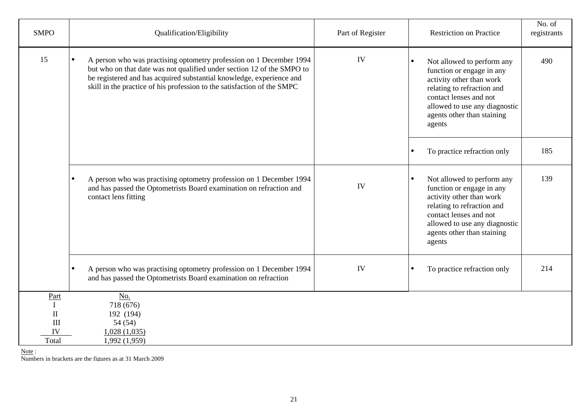| <b>SMPO</b>                                           | Qualification/Eligibility                                                                                                                                                                                                                                                                                     | Part of Register | <b>Restriction on Practice</b>                                                                                                                                                                                                    | No. of<br>registrants |
|-------------------------------------------------------|---------------------------------------------------------------------------------------------------------------------------------------------------------------------------------------------------------------------------------------------------------------------------------------------------------------|------------------|-----------------------------------------------------------------------------------------------------------------------------------------------------------------------------------------------------------------------------------|-----------------------|
| 15                                                    | A person who was practising optometry profession on 1 December 1994<br>$\bullet$<br>but who on that date was not qualified under section 12 of the SMPO to<br>be registered and has acquired substantial knowledge, experience and<br>skill in the practice of his profession to the satisfaction of the SMPC | IV               | Not allowed to perform any<br>function or engage in any<br>activity other than work<br>relating to refraction and<br>contact lenses and not<br>allowed to use any diagnostic<br>agents other than staining<br>agents              | 490                   |
|                                                       |                                                                                                                                                                                                                                                                                                               |                  | To practice refraction only<br>$\bullet$                                                                                                                                                                                          | 185                   |
|                                                       | A person who was practising optometry profession on 1 December 1994<br>$\bullet$<br>and has passed the Optometrists Board examination on refraction and<br>contact lens fitting                                                                                                                               | IV               | Not allowed to perform any<br>$\bullet$<br>function or engage in any<br>activity other than work<br>relating to refraction and<br>contact lenses and not<br>allowed to use any diagnostic<br>agents other than staining<br>agents | 139                   |
|                                                       | A person who was practising optometry profession on 1 December 1994<br>$\bullet$<br>and has passed the Optometrists Board examination on refraction                                                                                                                                                           | IV               | To practice refraction only<br>$\bullet$                                                                                                                                                                                          | 214                   |
| Part<br>$\mathbf I$<br>$\rm II$<br>III<br>IV<br>Total | No.<br>718 (676)<br>192 (194)<br>54 (54)<br>1,028(1,035)<br>1,992 (1,959)                                                                                                                                                                                                                                     |                  |                                                                                                                                                                                                                                   |                       |

<u>Note</u> :<br>Numbers in brackets are the figures as at 31 March 2009